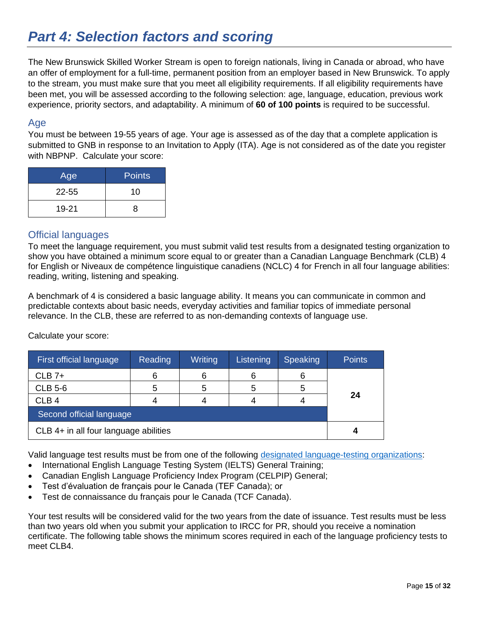# *Part 4: Selection factors and scoring*

The New Brunswick Skilled Worker Stream is open to foreign nationals, living in Canada or abroad, who have an offer of employment for a full-time, permanent position from an employer based in New Brunswick. To apply to the stream, you must make sure that you meet all eligibility requirements. If all eligibility requirements have been met, you will be assessed according to the following selection: age, language, education, previous work experience, priority sectors, and adaptability. A minimum of **60 of 100 points** is required to be successful.

#### Age

You must be between 19-55 years of age. Your age is assessed as of the day that a complete application is submitted to GNB in response to an Invitation to Apply (ITA). Age is not considered as of the date you register with NBPNP. Calculate your score:

| Age       | <b>Points</b> |
|-----------|---------------|
| $22 - 55$ | 10            |
| 19-21     | 8             |

### Official languages

To meet the language requirement, you must submit valid test results from a designated testing organization to show you have obtained a minimum score equal to or greater than a Canadian Language Benchmark (CLB) 4 for English or Niveaux de compétence linguistique canadiens (NCLC) 4 for French in all four language abilities: reading, writing, listening and speaking.

A benchmark of 4 is considered a basic language ability. It means you can communicate in common and predictable contexts about basic needs, everyday activities and familiar topics of immediate personal relevance. In the CLB, these are referred to as non-demanding contexts of language use.

Calculate your score:

| First official language               | <b>Reading</b> | Writing | Listening | <b>Speaking</b> | <b>Points</b> |
|---------------------------------------|----------------|---------|-----------|-----------------|---------------|
| $CLB$ 7+                              | 6              | 6       |           | 6               |               |
| <b>CLB 5-6</b>                        | 5              | 5       |           | 5               |               |
| CLB <sub>4</sub>                      | 4              |         |           |                 | 24            |
| Second official language              |                |         |           |                 |               |
| CLB 4+ in all four language abilities |                |         |           |                 |               |

Valid language test results must be from one of the following [designated language-testing organizations:](https://www.canada.ca/en/immigration-refugees-citizenship/corporate/publications-manuals/operational-bulletins-manuals/standard-requirements/language-requirements/test-equivalency-charts.html.)

- International English Language Testing System (IELTS) General Training;
- Canadian English Language Proficiency Index Program (CELPIP) General;
- Test d'évaluation de français pour le Canada (TEF Canada); or
- Test de connaissance du français pour le Canada (TCF Canada).

Your test results will be considered valid for the two years from the date of issuance. Test results must be less than two years old when you submit your application to IRCC for PR, should you receive a nomination certificate. The following table shows the minimum scores required in each of the language proficiency tests to meet CLB4.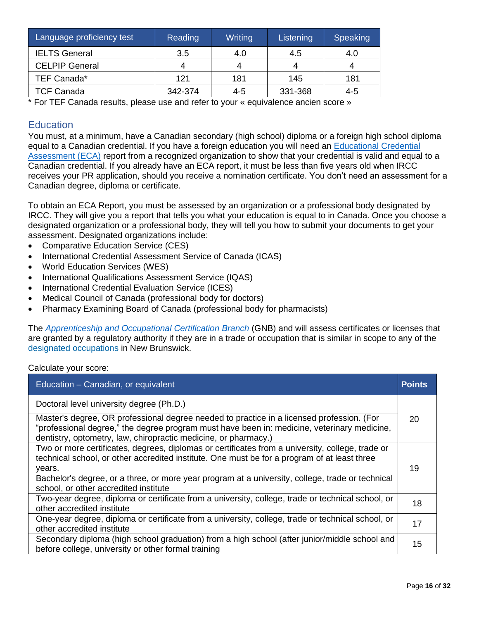| Language proficiency test | Reading | Writing | Listening | Speaking |
|---------------------------|---------|---------|-----------|----------|
| <b>IELTS General</b>      | 3.5     | 4.0     | 4.5       | 4.0      |
| <b>CELPIP General</b>     | 4       | Δ       | 4         | 4        |
| TEF Canada*               | 121     | 181     | 145       | 181      |
| <b>TCF Canada</b>         | 342-374 | 4-5     | 331-368   | 4-5      |

\* For TEF Canada results, please use and refer to your « equivalence ancien score »

# **Education**

You must, at a minimum, have a Canadian secondary (high school) diploma or a foreign high school diploma equal to a Canadian credential. If you have a foreign education you will need an [Educational Credential](https://www.cic.gc.ca/english/helpcentre/answer.asp?qnum=681&top=29)  [Assessment \(ECA\)](https://www.cic.gc.ca/english/helpcentre/answer.asp?qnum=681&top=29) report from a recognized organization to show that your credential is valid and equal to a Canadian credential. If you already have an ECA report, it must be less than five years old when IRCC receives your PR application, should you receive a nomination certificate. You don't need an assessment for a Canadian degree, diploma or certificate.

To obtain an ECA Report, you must be assessed by an organization or a professional body designated by IRCC. They will give you a report that tells you what your education is equal to in Canada. Once you choose a designated organization or a professional body, they will tell you how to submit your documents to get your assessment. Designated organizations include:

- Comparative Education Service (CES)
- International Credential Assessment Service of Canada (ICAS)
- World Education Services (WES)
- International Qualifications Assessment Service (IQAS)
- International Credential Evaluation Service (ICES)
- Medical Council of Canada (professional body for doctors)
- Pharmacy Examining Board of Canada (professional body for pharmacists)

The *[Apprenticeship and Occupational Certification Branch](https://www2.gnb.ca/content/gnb/en/departments/post-secondary_education_training_and_labour/Skills/content/ApprenticeshipAndTrades.html)* (GNB) and will assess certificates or licenses that are granted by a regulatory authority if they are in a trade or occupation that is similar in scope to any of the [designated occupations](https://www2.gnb.ca/content/gnb/en/departments/post-secondary_education_training_and_labour/Skills/content/ApprenticeshipAndTrades/DesignatedOccupations.html) in New Brunswick.

Calculate your score:

| Education - Canadian, or equivalent                                                                                                                                                                                                                         | <b>Points</b> |
|-------------------------------------------------------------------------------------------------------------------------------------------------------------------------------------------------------------------------------------------------------------|---------------|
| Doctoral level university degree (Ph.D.)                                                                                                                                                                                                                    |               |
| Master's degree, OR professional degree needed to practice in a licensed profession. (For<br>"professional degree," the degree program must have been in: medicine, veterinary medicine,<br>dentistry, optometry, law, chiropractic medicine, or pharmacy.) | 20            |
| Two or more certificates, degrees, diplomas or certificates from a university, college, trade or<br>technical school, or other accredited institute. One must be for a program of at least three<br>years.                                                  | 19            |
| Bachelor's degree, or a three, or more year program at a university, college, trade or technical<br>school, or other accredited institute                                                                                                                   |               |
| Two-year degree, diploma or certificate from a university, college, trade or technical school, or<br>other accredited institute                                                                                                                             | 18            |
| One-year degree, diploma or certificate from a university, college, trade or technical school, or<br>other accredited institute                                                                                                                             | 17            |
| Secondary diploma (high school graduation) from a high school (after junior/middle school and<br>before college, university or other formal training                                                                                                        | 15            |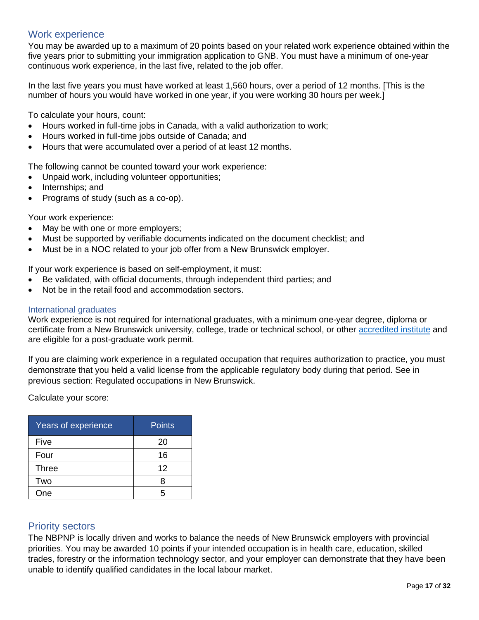### Work experience

You may be awarded up to a maximum of 20 points based on your related work experience obtained within the five years prior to submitting your immigration application to GNB. You must have a minimum of one-year continuous work experience, in the last five, related to the job offer.

In the last five years you must have worked at least 1,560 hours, over a period of 12 months. [This is the number of hours you would have worked in one year, if you were working 30 hours per week.]

To calculate your hours, count:

- Hours worked in full-time jobs in Canada, with a valid authorization to work;
- Hours worked in full-time jobs outside of Canada; and
- Hours that were accumulated over a period of at least 12 months.

The following cannot be counted toward your work experience:

- Unpaid work, including volunteer opportunities;
- Internships; and
- Programs of study (such as a co-op).

Your work experience:

- May be with one or more employers;
- Must be supported by verifiable documents indicated on the document checklist; and
- Must be in a NOC related to your job offer from a New Brunswick employer.

If your work experience is based on self-employment, it must:

- Be validated, with official documents, through independent third parties; and
- Not be in the retail food and accommodation sectors.

#### International graduates

Work experience is not required for international graduates, with a minimum one-year degree, diploma or certificate from a New Brunswick university, college, trade or technical school, or other [accredited institute](https://www.canada.ca/en/immigration-refugees-citizenship/services/study-canada/study-permit/prepare/designated-learning-institutions-list.html) and are eligible for a post-graduate work permit.

If you are claiming work experience in a regulated occupation that requires authorization to practice, you must demonstrate that you held a valid license from the applicable regulatory body during that period. See in previous section: Regulated occupations in New Brunswick.

Calculate your score:

| Years of experience | <b>Points</b> |
|---------------------|---------------|
| Five                | 20            |
| Four                | 16            |
| <b>Three</b>        | 12            |
| Two                 |               |
| One                 |               |

#### Priority sectors

The NBPNP is locally driven and works to balance the needs of New Brunswick employers with provincial priorities. You may be awarded 10 points if your intended occupation is in health care, education, skilled trades, forestry or the information technology sector, and your employer can demonstrate that they have been unable to identify qualified candidates in the local labour market.